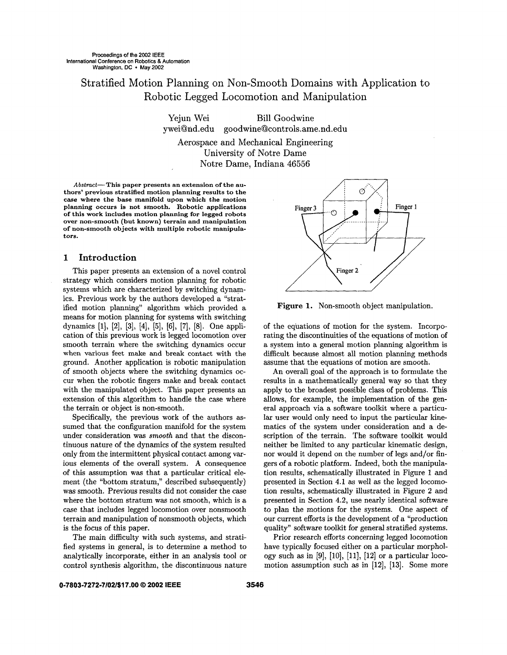# Stratified Motion Planning on Non-Smooth Domains with Application to Robotic Legged Locomotion and Manipulation

Yejun Wei Bill Goodwine

[ywei@nd.edu](mailto:ywei@nd.edu) **[goodwine@controls.ame.nd.edu](mailto:goodwine@controls.ame.nd.edu)** 

Aerospace and Mechanical Engineering University of Notre Dame Notre Dame, Indiana 46556

**Abstmct-This paper presents an extension of the authors' previous stratified motion planning results to the case where the base manifold upon which the motion planning occurs is not smooth. Robotic applications of this work includes motion planning for legged robots over non-smooth (but known) terrain and manipulation of non-smooth objects with multiple robotic manipulators.** 

# **1 Introduction**

This paper presents an extension of a novel control strategy which considers motion planning for robotic systems which are characterized by switching dynamics. Previous work by the authors developed a "stratified motion planning" algorithm which provided a means for motion planning for systems with switching cation of this previous work is legged locomotion over smooth terrain where the switching dynamics occur when various feet make and **break** contact with the ground. Another application is robotic manipulation of smooth objects where the switching dynamics occur when the robotic fingers make and break contact with the manipulated object. This paper presents an extension of this algorithm to handle the case where the terrain or object is non-smooth. dynamics [1], [2], [3], [4], [5], [6], [7], [8]. One appli-

Specifically, the previous work of the authors assumed that the configuration manifold for the system under consideration was *smooth* and that the discontinuous nature of the dynamics of the system resulted only from the intermittent physical contact among various elements of the overall system. **A** consequence of this assumption was that a particular critical element (the "bottom stratum," described subsequently) was smooth. Previous results did not consider the case where the bottom stratum was not smooth, which is a case that includes legged locomotion over nonsmooth terrain and manipulation of nonsmooth objects, which is the focus of this paper.

The main difficulty with such systems, and stratified systems in general, is to determine a method to analytically incorporate, either in an analysis tool or control synthesis algorithm, the discontinuous nature



**Figure 1.** Non-smooth object manipulation.

of the equations of motion for the system. Incorporating the discontinuities of the equations of motion of a system into a general motion planning algorithm is difficult because almost all motion planning methods assume that the equations of motion are smooth.

An overall goal of the approach is to formulate the results in a mathematically general way so that they apply to the broadest possible class of problems. This allows, for example, the implementation of the general approach via a software toolkit where a particular user would only need to input the particular kinematics of the system under consideration and a description of the terrain. The software toolkit would neither be limited to any particular kinematic design, nor would it depend on the number of legs and/or fingers of a robotic platform. Indeed, both the manipulation results, schematically illustrated in Figure 1 and presented in Section **4.1** as well as the legged locomotion results, schematically illustrated in [Figure 2](#page-1-0) and presented in Section 4.2, use nearly identical software to plan the motions for the systems. One aspect of our current efforts is the development of a "production quality" software toolkit for general stratified systems.

Prior research efforts concerning legged locomotion have typically focused either on a particular morphol*ogy* such as in [9], [lo], [Ill, **[12]** or a particular locomotion assumption such **as** in [12], **[13].** Some more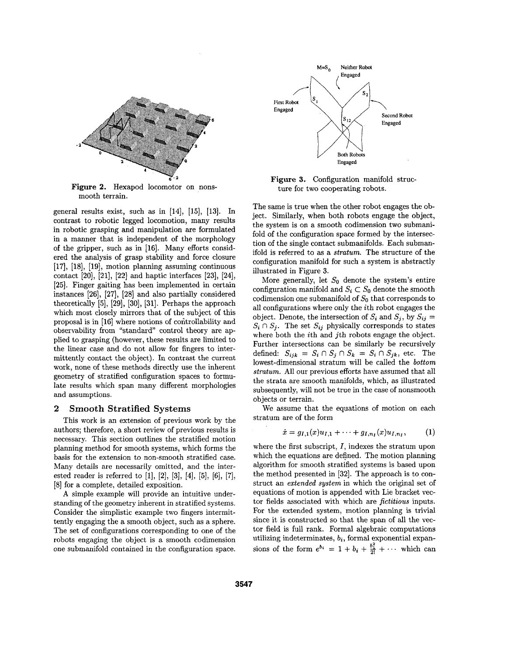<span id="page-1-0"></span>

**Figure 2.** Hexapod locomotor on nonsmooth terrain.

general results exist, such **as** in **[14], [15], [13].** In contrast to robotic legged locomotion, many results in robotic grasping and manipulation are formulated in a manner that is independent of the morphology of the gripper, such as in **[16].** Many efforts considered the analysis of grasp stability and force closure [17], **[18], [19],** motion planning assuming continuous contact **[20], [21], [22]** and haptic interfaces **[23], [24], [25].** Finger gaiting **has** been implemented in certain instances **[as], [27], [28]** and also partially considered theoretically **[5], [29], [30], [31].** Perhaps the approach which most closely mirrors that of the subject of this proposal is in **[16]** where notions of coritrollability and observability from "standard" control theory are applied to grasping (however, these results are limited to the linear case and do not allow for fingers to intermittently contact the object). In contrast the current work, none of these methods directly use the inherent geometry of stratified configuration spaces to formulate results which span many different morphologies and assumptions.

# **2 Smooth Stratified Systems**

This work is an extension of previous work by the authors; therefore, a short review of previous results is necessary. This section outlines the stratified motion planning method for smooth systems, which forms the basis for the extension to non-smooth stratified case. Many details are necessarily omitted, and the interested reader is referred to [1], [2], [3], [4], [5], [6], [7], **[8]** for a complete, detailed exposition.

**A** simple example will provide an intuitive understanding of the geometry inherent in stratified systems. Consider the simplistic example two fingers intermittently engaging the a smooth object, such as a sphere. The set of configurations corresponding to one of the robots engaging the object is a smooth codimension one submanifold contained in the configuration space.



**Figure 3.** Configuration manifold structure for two cooperating robots.

The same is true when the other robot engages the object. Similarly, when both robots engage the object, the system is on a smooth codimension two submanifold of the configuration space formed by the intersection of the single contact submanifolds. Each submanifold is referred to as a *stratum.* The structure of the configuration manifold for such a system is abstractly illustrated in Figure **3.** 

More generally, let  $S_0$  denote the system's entire configuration manifold and  $S_i \subset S_0$  denote the smooth codimension one submanifold of  $S_0$  that corresponds to all configurations where only the ith robot engages the object. Denote, the intersection of  $S_i$  and  $S_j$ , by  $S_{ij}$  =  $S_i \cap S_j$ . The set  $S_{ij}$  physically corresponds to states where both the ith and jth robots engage the object. Further intersections can be similarly be recursively defined:  $S_{ijk} = S_i \cap S_j \cap S_k = S_i \cap S_{jk}$ , etc. The lowest-dimensional stratum will be called the *bottom stratum.* All our previous efforts have assumed that all the strata are smooth manifolds, which, as illustrated subsequently, will not be true in the case of nonsmooth objects or terrain.

We assume that the equations of motion on each stratum are of the form

$$
\dot{x} = g_{I,1}(x)u_{I,1} + \cdots + g_{I,n_I}(x)u_{I,n_I}, \qquad (1)
$$

where the first subscript,  $I$ , indexes the stratum upon which the equations are defined. The motion planning algorithm for smooth stratified systems is based upon the method presented in **[32].** The approach is to construct an *extended system* in which the original set of equations of motion is appended with Lie bracket vector fields associated with which are *fictitious* inputs. For the extended system, motion planning is trivial since it is constructed so that the span of all the vector field is full rank. Formal algebraic computations utilizing indeterminates, *bi,* formal exponential expansions of the form  $e^{b_i} = 1 + b_i + \frac{b_i^2}{2!} + \cdots$  which can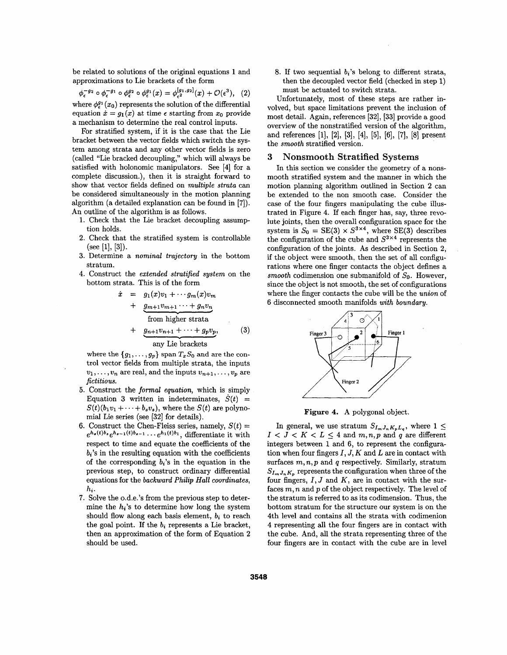<span id="page-2-0"></span>be related to solutions of the original equations **1** and approximations to Lie brackets of the form

 $\phi_{\epsilon}^{-g_2} \circ \phi_{\epsilon}^{-g_1} \circ \phi_{\epsilon}^{g_2} \circ \phi_{\epsilon}^{g_1}(x) = \phi_{\epsilon}^{[g_1, g_2]}(x) + \mathcal{O}(\epsilon^3),$  (2) where  $\phi_1^{g_1}(x_0)$  represents the solution of the differential equation  $\dot{x} = g_1(x)$  at time  $\epsilon$  starting from  $x_0$  provide a mechanism to determine the real control inputs.

For stratified system, if it is the case that the Lie bracket between the vector fields which switch the system among strata and any other vector fields is zero (called "Lie bracked decoupling," which will always be satisfied with holonomic manipulators. See [4] for a complete discussion.), then it is straight forward to show that vector fields defined on *multiple strata* can be considered simultaneously in the motion planning algorithm (a detailed explanation can be found in **[7]).**  An outline of the algorithm is as follows.

- 1. Check that the Lie bracket decoupling assumption holds.
- 2. Check that the stratified system is controllable  $(see [1], [3]).$
- 3. Determine a *nominal trajectory* in the bottom stratum.
- **4**  Construct the *extended stratified system* on the bottom strata. This is of the form

$$
\dot{x} = g_1(x)v_1 + \cdots g_m(x)v_m
$$
  
+ 
$$
\underbrace{g_{m+1}v_{m+1}\cdots+g_nv_n}_{\text{from higher strata}}
$$
  
+ 
$$
g_{m+1}v_1 + \cdots + g_nv_n
$$

+ 
$$
\underbrace{g_{n+1}v_{n+1} + \cdots + g_{p}v_{p}}_{\text{any Lie brackets}},
$$
 (3)

where the  $\{g_1, \ldots, g_p\}$  span  $T_xS_0$  and are the control vector fields from multiple strata, the inputs  $v_1, \ldots, v_n$  are real, and the inputs  $v_{n+1}, \ldots, v_p$  are *fictitious.* 

- **5.** Construct the *formal equation,* which is simply Equation 3 written in indeterminates,  $\dot{S}(t)$  =  $S(t)(b_1v_1 + \cdots + b_sv_s)$ , where the  $S(t)$  are polynomial Lie series (see **[32]** for details).
- 6. Construct the Chen-Fleiss series, namely,  $S(t)$  = respect to time and equate the coefficients of the  $b_i$ 's in the resulting equation with the coefficients of the corresponding *bi's* in the equation in the previous step, to construct ordinary differential equations for the *backward Philip Hall coordinates,*   $e^{h_s(t)b_s}e^{h_{s-1}(t)b_{s-1}}\cdots e^{h_1(t)b_1}$ , differentiate it with *hi.*
- **7.** Solve the o.d.e.'s from the previous step to determine the *hi's* to determine how long the system should flow along each basis element, *bi* to reach the goal point. If the *bi* represents a Lie bracket, then an approximation of the form of Equation 2 should be used.

*8.* If two sequential *bi's* belong to different strata, then the decoupled vector field (checked in step 1) must be actuated to switch strata.

Unfortunately, most of these steps are rather involved, but space limitations prevent the inclusion of most detail. Again, references **[32],** [33] provide a good overview of the nonstratified version of the algorithm, and references [l], **[2],** [3], [4], *[5],* **[6], [7], [8]** present the *smooth* stratified version.

#### **3 Nonsmooth Stratified Systems**

In this section we consider the geometry of a nonsmooth stratified system and the manner in which the motion planning algorithm outlined in Section 2 can be extended to the non smooth case. Consider the case of the four fingers manipulating the cube illustrated in Figure 4. If each finger has, say, three revolute joints, then the overall configuration space for the system is  $S_0 = \text{SE}(3) \times S^{3 \times 4}$ , where SE(3) describes the configuration of the cube and  $S^{3\times 4}$  represents the configuration of the joints. As described in Section 2, if the object were smooth, then the set of all configurations where one finger contacts the object defines a *smooth* codimension one submanifold of  $S_0$ . However, since the object is not smooth, the set of configurations where the finger contacts the cube will be the *union* of **6** disconnected smooth manifolds *with boundary.* 



**Figure 4.** A polygonal object.

In general, we use stratum  $S_{I_mJ_nK_pL_q}$ , where  $1 \leq$  $I < J < K < L \leq 4$  and  $m, n, p$  and  $q$  are different integers between 1 and **6,** to represent the configuration when four fingers *I, J, K* and L are in contact with surfaces *m, n,p* and *q* respectively. Similarly, stratum  $S_{I_m, J_n, K_p}$  represents the configuration when three of the four fingers, *I, J* and *K,* are in contact with the surfaces *m, n* and *p* of the object respectively. The level of the stratum is referred to as its codimension. Thus, the bottom stratum for the structure our system is on the 4th level and contains all the strata with codimenion 4 representing all the four fingers are in contact with the cube. And, all the strata representing three of the four fingers are in contact with the cube are in level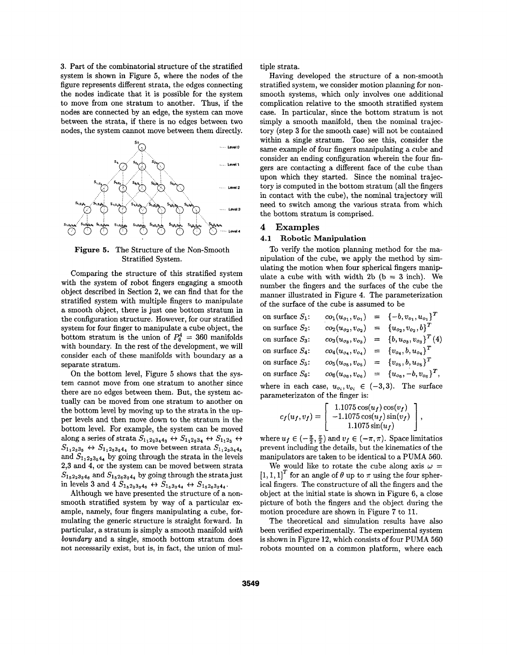**3.** Part of the combinatorial structure of the stratified system is shown in Figure *5,* where the nodes of the figure represents different strata, the edges connecting the nodes indicate that it is possible for the system to move from one stratum to another. Thus, if the nodes axe connected by an edge, the system can move between the strata, if there is no edges between two nodes, the system cannot move between them directly.



**Figure 5.** The Structure of the Non-Smooth Stratified System.

Comparing the structure of this stratified system with the system of robot fingers engaging a smooth object described in Section **2,** we can find that for the stratified system with multiple fingers to manipulate a smooth object, there is just one bottom stratum in the configuration structure. However, for our stratified system for four finger to manipulate a cube object, the bottom stratum is the union of  $P_6^4 = 360$  manifolds with boundary. In the rest of the development, we will consider each of these manifolds with boundary **as** a separate stratum.

On the bottom level, Figure 5 shows that the system cannot move from one stratum to another since there are no edges between them. But, the system actually can be moved from one stratum to another on the bottom level by moving up to the strata in the upper levels and then move down to the stratum in the bottom level. For example, the system can be moved along a series of strata  $S_{1_12_23_44_3} \leftrightarrow S_{1_12_33_4} \leftrightarrow S_{1_12_3} \leftrightarrow$  $S_{1_12_33_5} \leftrightarrow S_{1_12_33_54_4}$  to move between strata  $S_{1_12_33_44_5}$ and  $S_{1_12_33_54_4}$  by going through the strata in the levels **2,3** and **4,** or the system can be moved between strata  $S_{15223346}$  and  $S_{15263344}$  by going through the strata just in levels 3 and 4  $S_{1_52_23_34_6} \leftrightarrow S_{1_53_34_4} \leftrightarrow S_{1_52_63_34_4}$ .

Although we have presented the structure of a nonsmooth stratified system by way of a particular example, namely, four fingers manipulating a cube, formulating the generic structure is straight forward. In particular, a stratum is simply a smooth manifold *with boundary* and a single, smooth bottom stratum does not necessarily exist, but is, in fact, the union of multiple strata.

Having developed the structure of a non-smooth stratified system, we consider motion planning for nonsmooth systems, which only involves one additional complication relative to the smooth stratified system case. In particular, since the bottom stratum is not simply a smooth manifold, then the nominal trajectory (step **3** for the smooth case) will not be contained within a single stratum. Too see this, consider the same example of four fingers manipulating a cube and consider an ending configuration wherein the four fingers are contacting a different face of the cube than upon which they started. Since the nominal trajectory is computed in the bottom stratum (all the fingers in contact with the cube), the nominal trajectory will need to switch among the various strata from which the bottom stratum is comprised.

#### **4 Examples**

# **4.1 Robotic Manipulation**

To verify the motion planning method for the manipulation of the cube, we apply the method by simulating the motion when four spherical fingers manipulate a cube with with width 2b  $(b = 3$  inch). We number the fingers and the surfaces of the cube the manner illustrated in [Figure](#page-2-0) **4.** The parameterization of the surface of the cube is assumed to be

| on surface $S_1$ :                                          |                                                                          |  | $co_1(u_{o_1}, v_{o_1}) = \{-b, v_{o_1}, u_{o_1}\}^T$                   |  |  |
|-------------------------------------------------------------|--------------------------------------------------------------------------|--|-------------------------------------------------------------------------|--|--|
| on surface $S_2$ :                                          | $co_2(u_{o_2}, v_{o_2}) = \{u_{o_2}, v_{o_2}, b\}^T$                     |  |                                                                         |  |  |
| on surface $S_3$ :                                          |                                                                          |  | $\langle \cos(u_{o_3}, v_{o_3}) \rangle = \{b, u_{o_3}, v_{o_3}\}^T(4)$ |  |  |
| on surface $S_4$ :                                          | $co_4(u_{o_4}, v_{o_4}) = \{v_{o_4}, b, u_{o_4}\}^T$                     |  |                                                                         |  |  |
| on surface $S_5$ :                                          | $\cos(u_{\sigma_5}, v_{\sigma_5}) = \{v_{\sigma_5}, b, u_{\sigma_5}\}^T$ |  |                                                                         |  |  |
| on surface $S_6$ :                                          |                                                                          |  | $co_6(u_{o_6}, v_{o_6}) = \{u_{o_6}, -b, v_{o_6}\}^T$                   |  |  |
| where in each case $\mu$ $\mu$ $\sigma$ $(9.9)$ The surface |                                                                          |  |                                                                         |  |  |

where in each case,  $u_{o_i}, v_{o_i} \in (-3,3)$ . The surface parameterizaton of the finger is:

$$
c_f(u_f, v_f) = \left[\begin{array}{c} 1.1075 \cos(u_f) \cos(v_f) \\ -1.1075 \cos(u_f) \sin(v_f) \\ 1.1075 \sin(u_f) \end{array}\right],
$$

where  $u_f \in (-\frac{\pi}{2}, \frac{\pi}{2})$  and  $v_f \in (-\pi, \pi)$ . Space limitatios prevent including the details, but the kinematics of the manipulators are taken to be identical to a PUMA **560.** 

We would like to rotate the cube along axis  $\omega =$  $[1, 1, 1]^T$  for an angle of  $\theta$  up to  $\pi$  using the four spherical fingers. The constructure of all the fingers and the object at the initial state is shown in Figure **6,** a close picture of both the fingers and the object during the motion procedure are shown in [Figure](#page-4-0) **7** to 11.

The theoretical and simulation results have aIso been verified experimentally. The experimental system is shown in [Figure 12,](#page-5-0) which consists of four PUMA **560**  robots mounted on a common platform, where each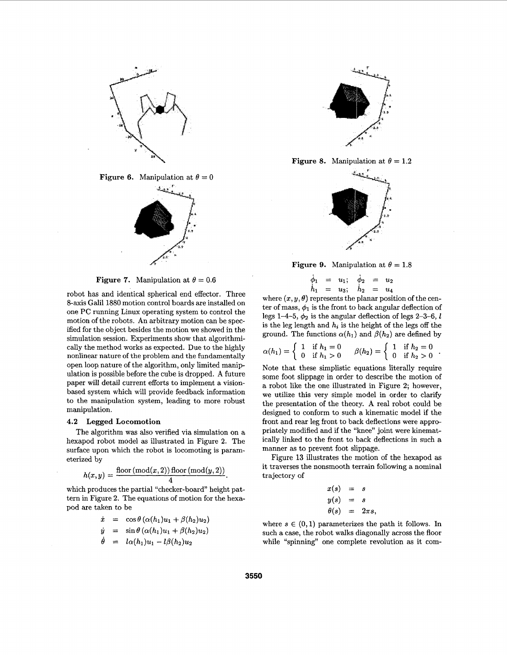<span id="page-4-0"></span>

**Figure 6.** Manipulation at  $\theta = 0$ 



**Figure 7.** Manipulation at  $\theta = 0.6$ 

robot has and identical spherical end effector. Three 8-axis Galil 1880 motion control boards are installed on one PC running Linux operating system to control the motion of the robots. An arbitrary motion can be specified for the object besides the motion we showed in the simulation session. Experiments show that algorithmically the method works as expected. Due to the highly nonlinear nature of the problem and the fundamentally open loop nature of the algorithm, only limited manipulation is possible before the cube is dropped. **A** future paper will detail current efforts to implement a visionbased system which will provide feedback information to the manipulation system, leading to more robust manipulation.

### **4.2 Legged Locomotion**

The algorithm was also verified via simulation on **a**  hexapod robot model as illustrated in [Figure](#page-1-0) *2.* The surface upon which the robot is locomoting is parameterized by

$$
h(x,y)=\frac{\mathrm{floor}\left(\mathrm{mod}(x,2)\right)\mathrm{floor}\left(\mathrm{mod}(y,2)\right)}{4}.
$$

which produces the partial "checker-board" height pat-tern in [Figure](#page-1-0) 2. The equations of motion for the hexa- $\theta(s) = 2\pi s$ ,  $\theta(s) = 2\pi s$ ,

$$
\dot{x} = \cos \theta (\alpha(h_1)u_1 + \beta(h_2)u_2)
$$
  
\n
$$
\dot{y} = \sin \theta (\alpha(h_1)u_1 + \beta(h_2)u_2)
$$
  
\n
$$
\dot{\theta} = l\alpha(h_1)u_1 - l\beta(h_2)u_2
$$



**Figure 8.** Manipulation at  $\theta = 1.2$ 



**Figure 9.** Manipulation at  $\theta = 1.8$ 

$$
\dot{\phi}_1 = u_1; \quad \dot{\phi}_2 = u_2 \n\dot{h}_1 = u_3; \quad \dot{h}_2 = u_4
$$

where  $(x, y, \theta)$  represents the planar position of the center of mass,  $\phi_1$  is the front to back angular deflection of legs  $1-4-5$ ,  $\phi_2$  is the angular deflection of legs  $2-3-6$ , *l* is the leg length and  $h_i$  is the height of the legs off the ground. The functions  $\alpha(h_1)$  and  $\beta(h_2)$  are defined by

$$
\alpha(h_1) = \begin{cases} 1 & \text{if } h_1 = 0 \\ 0 & \text{if } h_1 > 0 \end{cases} \qquad \beta(h_2) = \begin{cases} 1 & \text{if } h_2 = 0 \\ 0 & \text{if } h_2 > 0 \end{cases}
$$

Note that these simplistic equations literally require some foot slippage in order to describe the motion of a robot like the one illustrated in Figure *2;* however, we utilize this very simple model in order to clarify the presentation of the theory. **A** real robot could be designed to conform to such a kinematic model if the front and rear leg front to hack deflections were appropriately modified and if the "knee" joint were kinematically linked to the front to back deflections in such a manner as to prevent foot slippage.

[Figure](#page-5-0) **13** illustrates the motion of the hexapod **as**  it traverses the nonsmooth terrain following a nominal trajectory of

$$
x(s) = s
$$
  
\n
$$
y(s) = s
$$
  
\n
$$
\theta(s) = 2\pi s
$$

where  $s \in (0,1)$  parameterizes the path it follows. In such a case, the robot walks diagonally across the floor while "spinning" one complete revolution as it com-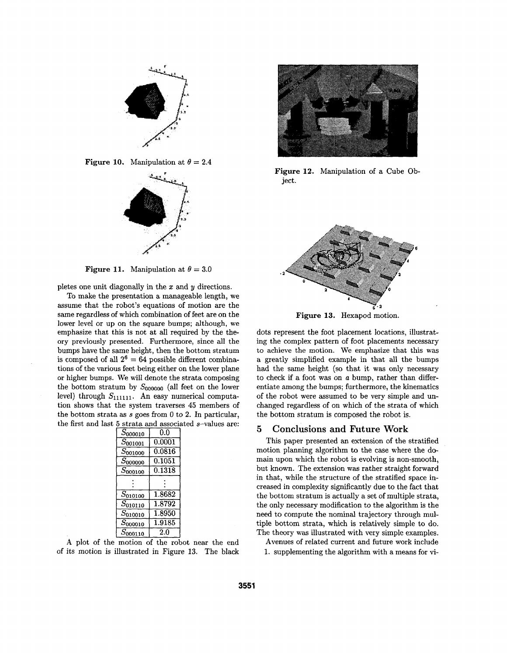<span id="page-5-0"></span>

**Figure 10.** Manipulation at  $\theta = 2.4$ 



**Figure 11.** Manipulation at  $\theta = 3.0$ 

pletes one unit diagonally in the *2* and y directions.

To make the presentation a manageable length, we assume that the robot's equations of motion are the same regardless of which combination of feet are on the lower level or up on the square bumps; although, we emphasize that this is not at all required by the theory previously presented. Furthermore, since all the bumps have the same height, then the bottom stratum is composed of all  $2^6 = 64$  possible different combinations of the various feet being either on the lower plane or higher bumps. We will denote the strata composing the bottom stratum by  $S_{000000}$  (all feet on the lower level) through  $S_{111111}$ . An easy numerical computation shows that the system traverses **45** members of the bottom strata **as s** goes from 0 to **2.** In particular, the first and last  $5$  strata and associated  $s$ -values are:

| S <sub>000010</sub>          | 0.0    |
|------------------------------|--------|
| $S_{001001}$                 | 0.0001 |
| $S_{001000}$                 | 0.0816 |
| $S_{000000}$                 | 0.1051 |
| $S_{000100}$                 | 0.1318 |
|                              |        |
| $S_{010100}$                 | 1.8682 |
| $S_{010110}$                 | 1.8792 |
|                              |        |
|                              | 1.8950 |
| $S_{010010}$<br>$S_{000010}$ | 1.9185 |

A plot of the motion of the robot near the end of its motion is illustrated in Figure **13.** The black



**Figure 12.** Manipulation of a Cube Object.



**Figure 13.** Hexapod motion.

dots represent the foot placement locations, illustrating the complex pattern of foot placements necessary to achieve the motion. We emphasize that this was a greatly simplified example in that **all** the bumps had the same height (so that it was only necessary to check if a foot was on a bump, rather than differentiate among the bumps; furthermore, the kinematics of the robot were assumed to be very simple and unchanged regardless of on which of the strata of which the bottom stratum is composed the robot is.

# *5* Conclusions and Future Work

This paper presented **an** extension of the stratified motion planning algorithm to the case where the domain upon which the robot is evolving is non-smooth, but known. The extension was rather straight forward in that, while the structure of the stratified space increased in complexity significantly due to the fact that the bottom stratum is actually a set of multiple strata, the only necessary modification to the algorithm is the need to compute the nominal trajectory through multiple bottom strata, which is relatively simple to do. The theory was illustrated with very simple examples.

Avenues of related current and future work include 1. supplementing the algorithm with a means for vi